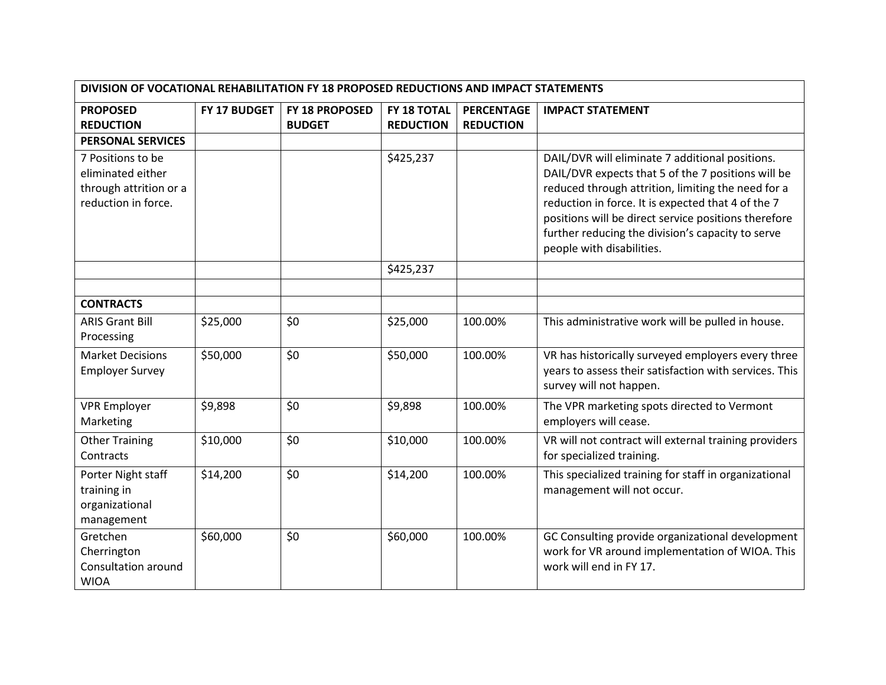| DIVISION OF VOCATIONAL REHABILITATION FY 18 PROPOSED REDUCTIONS AND IMPACT STATEMENTS   |              |                |                  |                   |                                                                                                                                                                                                                                                                                                                                                             |  |
|-----------------------------------------------------------------------------------------|--------------|----------------|------------------|-------------------|-------------------------------------------------------------------------------------------------------------------------------------------------------------------------------------------------------------------------------------------------------------------------------------------------------------------------------------------------------------|--|
| <b>PROPOSED</b>                                                                         | FY 17 BUDGET | FY 18 PROPOSED | FY 18 TOTAL      | <b>PERCENTAGE</b> | <b>IMPACT STATEMENT</b>                                                                                                                                                                                                                                                                                                                                     |  |
| <b>REDUCTION</b>                                                                        |              | <b>BUDGET</b>  | <b>REDUCTION</b> | <b>REDUCTION</b>  |                                                                                                                                                                                                                                                                                                                                                             |  |
| <b>PERSONAL SERVICES</b>                                                                |              |                |                  |                   |                                                                                                                                                                                                                                                                                                                                                             |  |
| 7 Positions to be<br>eliminated either<br>through attrition or a<br>reduction in force. |              |                | \$425,237        |                   | DAIL/DVR will eliminate 7 additional positions.<br>DAIL/DVR expects that 5 of the 7 positions will be<br>reduced through attrition, limiting the need for a<br>reduction in force. It is expected that 4 of the 7<br>positions will be direct service positions therefore<br>further reducing the division's capacity to serve<br>people with disabilities. |  |
|                                                                                         |              |                | \$425,237        |                   |                                                                                                                                                                                                                                                                                                                                                             |  |
|                                                                                         |              |                |                  |                   |                                                                                                                                                                                                                                                                                                                                                             |  |
| <b>CONTRACTS</b>                                                                        |              |                |                  |                   |                                                                                                                                                                                                                                                                                                                                                             |  |
| <b>ARIS Grant Bill</b><br>Processing                                                    | \$25,000     | \$0            | \$25,000         | 100.00%           | This administrative work will be pulled in house.                                                                                                                                                                                                                                                                                                           |  |
| <b>Market Decisions</b><br><b>Employer Survey</b>                                       | \$50,000     | \$0            | \$50,000         | 100.00%           | VR has historically surveyed employers every three<br>years to assess their satisfaction with services. This<br>survey will not happen.                                                                                                                                                                                                                     |  |
| <b>VPR Employer</b><br>Marketing                                                        | \$9,898      | \$0            | \$9,898          | 100.00%           | The VPR marketing spots directed to Vermont<br>employers will cease.                                                                                                                                                                                                                                                                                        |  |
| <b>Other Training</b><br>Contracts                                                      | \$10,000     | \$0            | \$10,000         | 100.00%           | VR will not contract will external training providers<br>for specialized training.                                                                                                                                                                                                                                                                          |  |
| Porter Night staff<br>training in<br>organizational<br>management                       | \$14,200     | \$0            | \$14,200         | 100.00%           | This specialized training for staff in organizational<br>management will not occur.                                                                                                                                                                                                                                                                         |  |
| Gretchen<br>Cherrington<br>Consultation around<br><b>WIOA</b>                           | \$60,000     | \$0            | \$60,000         | 100.00%           | GC Consulting provide organizational development<br>work for VR around implementation of WIOA. This<br>work will end in FY 17.                                                                                                                                                                                                                              |  |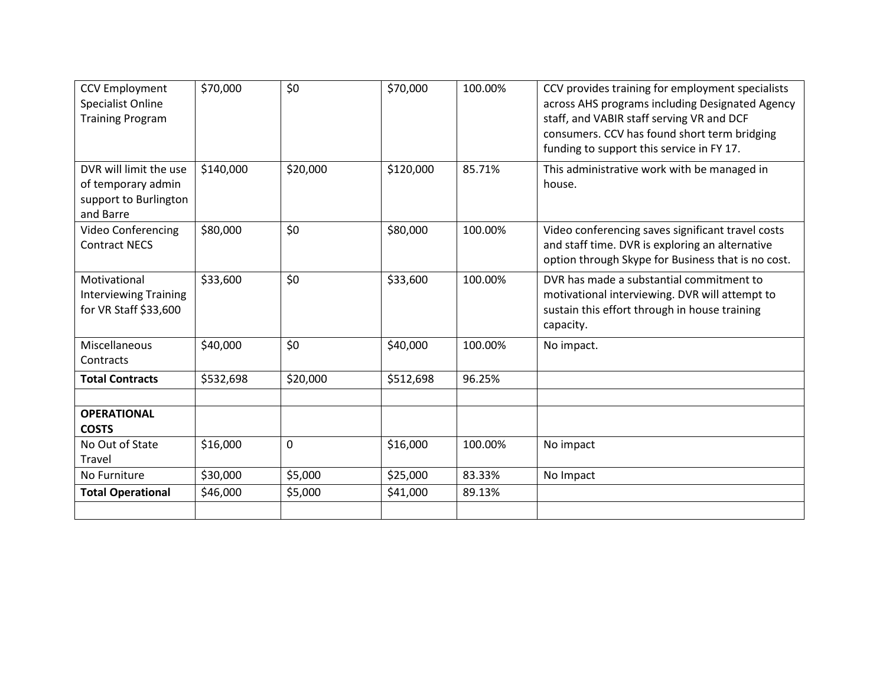| <b>CCV Employment</b><br><b>Specialist Online</b><br><b>Training Program</b>       | \$70,000  | \$0         | \$70,000  | 100.00% | CCV provides training for employment specialists<br>across AHS programs including Designated Agency<br>staff, and VABIR staff serving VR and DCF<br>consumers. CCV has found short term bridging<br>funding to support this service in FY 17. |
|------------------------------------------------------------------------------------|-----------|-------------|-----------|---------|-----------------------------------------------------------------------------------------------------------------------------------------------------------------------------------------------------------------------------------------------|
| DVR will limit the use<br>of temporary admin<br>support to Burlington<br>and Barre | \$140,000 | \$20,000    | \$120,000 | 85.71%  | This administrative work with be managed in<br>house.                                                                                                                                                                                         |
| <b>Video Conferencing</b><br><b>Contract NECS</b>                                  | \$80,000  | \$0         | \$80,000  | 100.00% | Video conferencing saves significant travel costs<br>and staff time. DVR is exploring an alternative<br>option through Skype for Business that is no cost.                                                                                    |
| Motivational<br><b>Interviewing Training</b><br>for VR Staff \$33,600              | \$33,600  | \$0         | \$33,600  | 100.00% | DVR has made a substantial commitment to<br>motivational interviewing. DVR will attempt to<br>sustain this effort through in house training<br>capacity.                                                                                      |
| Miscellaneous<br>Contracts                                                         | \$40,000  | \$0         | \$40,000  | 100.00% | No impact.                                                                                                                                                                                                                                    |
| <b>Total Contracts</b>                                                             | \$532,698 | \$20,000    | \$512,698 | 96.25%  |                                                                                                                                                                                                                                               |
| <b>OPERATIONAL</b><br><b>COSTS</b>                                                 |           |             |           |         |                                                                                                                                                                                                                                               |
| No Out of State<br>Travel                                                          | \$16,000  | $\mathbf 0$ | \$16,000  | 100.00% | No impact                                                                                                                                                                                                                                     |
| No Furniture                                                                       | \$30,000  | \$5,000     | \$25,000  | 83.33%  | No Impact                                                                                                                                                                                                                                     |
| <b>Total Operational</b>                                                           | \$46,000  | \$5,000     | \$41,000  | 89.13%  |                                                                                                                                                                                                                                               |
|                                                                                    |           |             |           |         |                                                                                                                                                                                                                                               |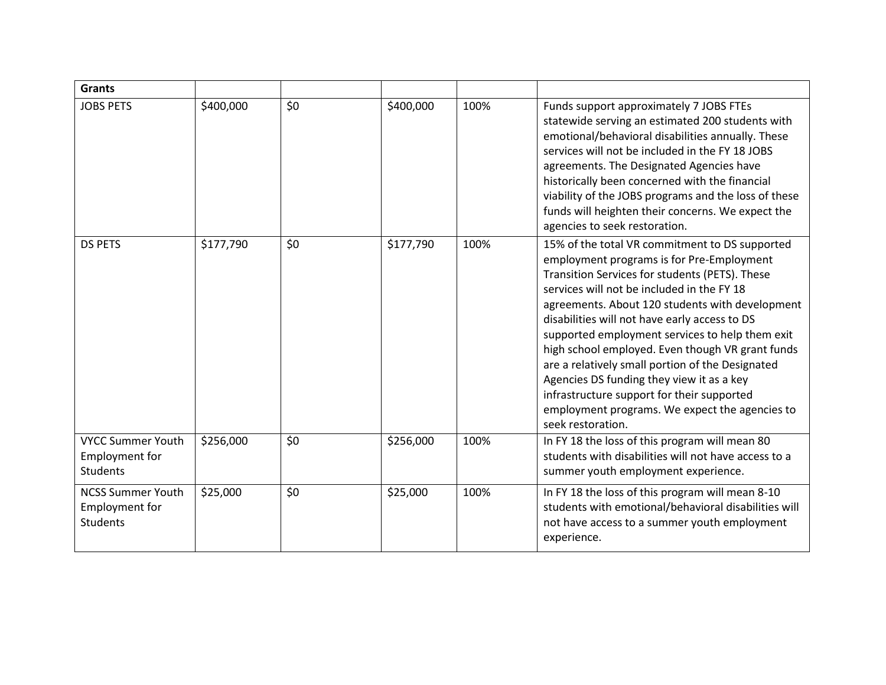| <b>Grants</b>                                                        |           |     |           |      |                                                                                                                                                                                                                                                                                                                                                                                                                                                                                                                                                                                                                              |
|----------------------------------------------------------------------|-----------|-----|-----------|------|------------------------------------------------------------------------------------------------------------------------------------------------------------------------------------------------------------------------------------------------------------------------------------------------------------------------------------------------------------------------------------------------------------------------------------------------------------------------------------------------------------------------------------------------------------------------------------------------------------------------------|
| <b>JOBS PETS</b>                                                     | \$400,000 | \$0 | \$400,000 | 100% | Funds support approximately 7 JOBS FTEs<br>statewide serving an estimated 200 students with<br>emotional/behavioral disabilities annually. These<br>services will not be included in the FY 18 JOBS<br>agreements. The Designated Agencies have<br>historically been concerned with the financial<br>viability of the JOBS programs and the loss of these<br>funds will heighten their concerns. We expect the<br>agencies to seek restoration.                                                                                                                                                                              |
| <b>DS PETS</b>                                                       | \$177,790 | \$0 | \$177,790 | 100% | 15% of the total VR commitment to DS supported<br>employment programs is for Pre-Employment<br>Transition Services for students (PETS). These<br>services will not be included in the FY 18<br>agreements. About 120 students with development<br>disabilities will not have early access to DS<br>supported employment services to help them exit<br>high school employed. Even though VR grant funds<br>are a relatively small portion of the Designated<br>Agencies DS funding they view it as a key<br>infrastructure support for their supported<br>employment programs. We expect the agencies to<br>seek restoration. |
| <b>VYCC Summer Youth</b><br><b>Employment for</b><br>Students        | \$256,000 | \$0 | \$256,000 | 100% | In FY 18 the loss of this program will mean 80<br>students with disabilities will not have access to a<br>summer youth employment experience.                                                                                                                                                                                                                                                                                                                                                                                                                                                                                |
| <b>NCSS Summer Youth</b><br><b>Employment for</b><br><b>Students</b> | \$25,000  | \$0 | \$25,000  | 100% | In FY 18 the loss of this program will mean 8-10<br>students with emotional/behavioral disabilities will<br>not have access to a summer youth employment<br>experience.                                                                                                                                                                                                                                                                                                                                                                                                                                                      |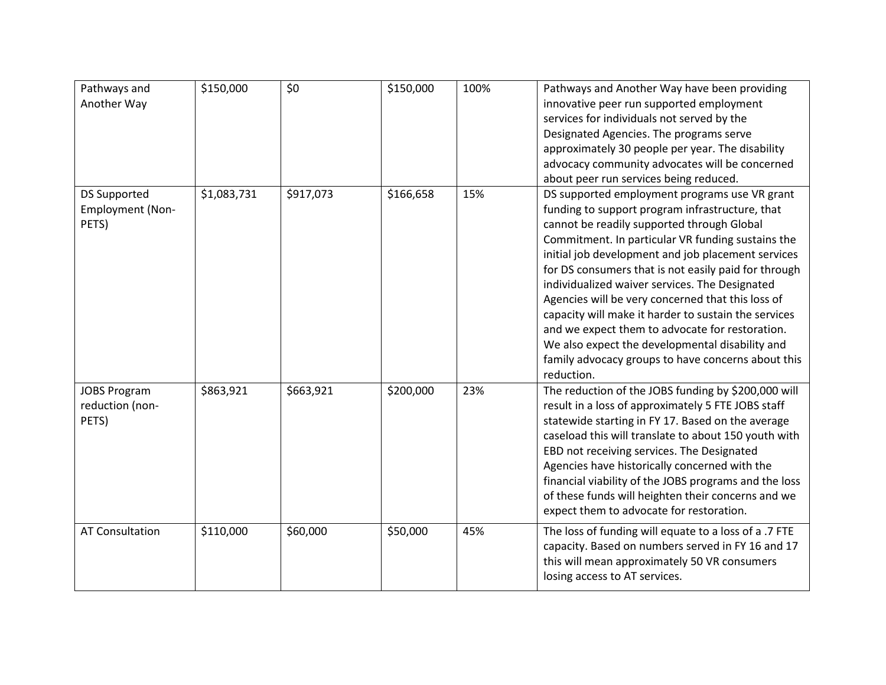| Pathways and<br>Another Way                             | \$150,000   | \$0       | \$150,000 | 100% | Pathways and Another Way have been providing<br>innovative peer run supported employment<br>services for individuals not served by the<br>Designated Agencies. The programs serve<br>approximately 30 people per year. The disability<br>advocacy community advocates will be concerned<br>about peer run services being reduced.                                                                                                                                                                                                                                                                                                                          |
|---------------------------------------------------------|-------------|-----------|-----------|------|------------------------------------------------------------------------------------------------------------------------------------------------------------------------------------------------------------------------------------------------------------------------------------------------------------------------------------------------------------------------------------------------------------------------------------------------------------------------------------------------------------------------------------------------------------------------------------------------------------------------------------------------------------|
| <b>DS Supported</b><br><b>Employment (Non-</b><br>PETS) | \$1,083,731 | \$917,073 | \$166,658 | 15%  | DS supported employment programs use VR grant<br>funding to support program infrastructure, that<br>cannot be readily supported through Global<br>Commitment. In particular VR funding sustains the<br>initial job development and job placement services<br>for DS consumers that is not easily paid for through<br>individualized waiver services. The Designated<br>Agencies will be very concerned that this loss of<br>capacity will make it harder to sustain the services<br>and we expect them to advocate for restoration.<br>We also expect the developmental disability and<br>family advocacy groups to have concerns about this<br>reduction. |
| <b>JOBS Program</b><br>reduction (non-<br>PETS)         | \$863,921   | \$663,921 | \$200,000 | 23%  | The reduction of the JOBS funding by \$200,000 will<br>result in a loss of approximately 5 FTE JOBS staff<br>statewide starting in FY 17. Based on the average<br>caseload this will translate to about 150 youth with<br>EBD not receiving services. The Designated<br>Agencies have historically concerned with the<br>financial viability of the JOBS programs and the loss<br>of these funds will heighten their concerns and we<br>expect them to advocate for restoration.                                                                                                                                                                           |
| <b>AT Consultation</b>                                  | \$110,000   | \$60,000  | \$50,000  | 45%  | The loss of funding will equate to a loss of a .7 FTE<br>capacity. Based on numbers served in FY 16 and 17<br>this will mean approximately 50 VR consumers<br>losing access to AT services.                                                                                                                                                                                                                                                                                                                                                                                                                                                                |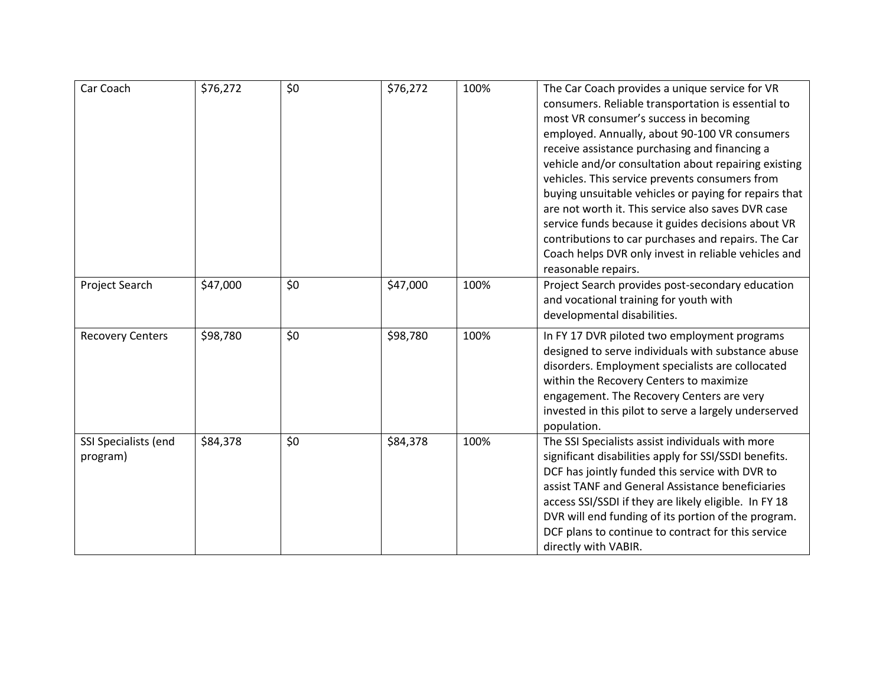| Car Coach                        | \$76,272 | \$0 | \$76,272 | 100% | The Car Coach provides a unique service for VR<br>consumers. Reliable transportation is essential to<br>most VR consumer's success in becoming<br>employed. Annually, about 90-100 VR consumers<br>receive assistance purchasing and financing a<br>vehicle and/or consultation about repairing existing<br>vehicles. This service prevents consumers from<br>buying unsuitable vehicles or paying for repairs that<br>are not worth it. This service also saves DVR case<br>service funds because it guides decisions about VR<br>contributions to car purchases and repairs. The Car<br>Coach helps DVR only invest in reliable vehicles and<br>reasonable repairs. |
|----------------------------------|----------|-----|----------|------|-----------------------------------------------------------------------------------------------------------------------------------------------------------------------------------------------------------------------------------------------------------------------------------------------------------------------------------------------------------------------------------------------------------------------------------------------------------------------------------------------------------------------------------------------------------------------------------------------------------------------------------------------------------------------|
| Project Search                   | \$47,000 | \$0 | \$47,000 | 100% | Project Search provides post-secondary education<br>and vocational training for youth with<br>developmental disabilities.                                                                                                                                                                                                                                                                                                                                                                                                                                                                                                                                             |
| <b>Recovery Centers</b>          | \$98,780 | \$0 | \$98,780 | 100% | In FY 17 DVR piloted two employment programs<br>designed to serve individuals with substance abuse<br>disorders. Employment specialists are collocated<br>within the Recovery Centers to maximize<br>engagement. The Recovery Centers are very<br>invested in this pilot to serve a largely underserved<br>population.                                                                                                                                                                                                                                                                                                                                                |
| SSI Specialists (end<br>program) | \$84,378 | \$0 | \$84,378 | 100% | The SSI Specialists assist individuals with more<br>significant disabilities apply for SSI/SSDI benefits.<br>DCF has jointly funded this service with DVR to<br>assist TANF and General Assistance beneficiaries<br>access SSI/SSDI if they are likely eligible. In FY 18<br>DVR will end funding of its portion of the program.<br>DCF plans to continue to contract for this service<br>directly with VABIR.                                                                                                                                                                                                                                                        |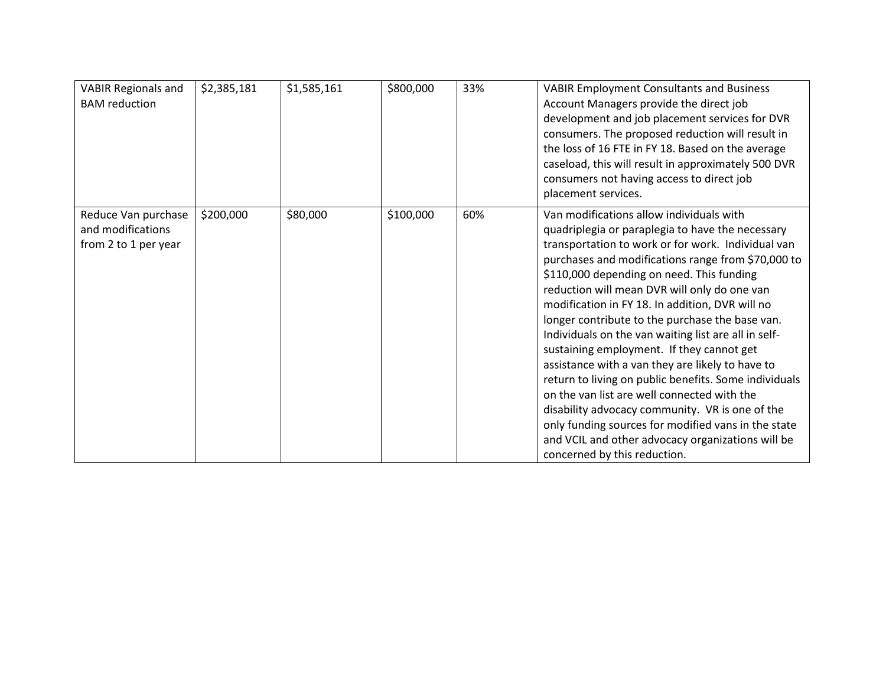| <b>VABIR Regionals and</b><br><b>BAM</b> reduction               | \$2,385,181 | \$1,585,161 | \$800,000 | 33% | <b>VABIR Employment Consultants and Business</b><br>Account Managers provide the direct job<br>development and job placement services for DVR<br>consumers. The proposed reduction will result in<br>the loss of 16 FTE in FY 18. Based on the average<br>caseload, this will result in approximately 500 DVR<br>consumers not having access to direct job<br>placement services.                                                                                                                                                                                                                                                                                                                                                                                                                                                                                           |
|------------------------------------------------------------------|-------------|-------------|-----------|-----|-----------------------------------------------------------------------------------------------------------------------------------------------------------------------------------------------------------------------------------------------------------------------------------------------------------------------------------------------------------------------------------------------------------------------------------------------------------------------------------------------------------------------------------------------------------------------------------------------------------------------------------------------------------------------------------------------------------------------------------------------------------------------------------------------------------------------------------------------------------------------------|
| Reduce Van purchase<br>and modifications<br>from 2 to 1 per year | \$200,000   | \$80,000    | \$100,000 | 60% | Van modifications allow individuals with<br>quadriplegia or paraplegia to have the necessary<br>transportation to work or for work. Individual van<br>purchases and modifications range from \$70,000 to<br>\$110,000 depending on need. This funding<br>reduction will mean DVR will only do one van<br>modification in FY 18. In addition, DVR will no<br>longer contribute to the purchase the base van.<br>Individuals on the van waiting list are all in self-<br>sustaining employment. If they cannot get<br>assistance with a van they are likely to have to<br>return to living on public benefits. Some individuals<br>on the van list are well connected with the<br>disability advocacy community. VR is one of the<br>only funding sources for modified vans in the state<br>and VCIL and other advocacy organizations will be<br>concerned by this reduction. |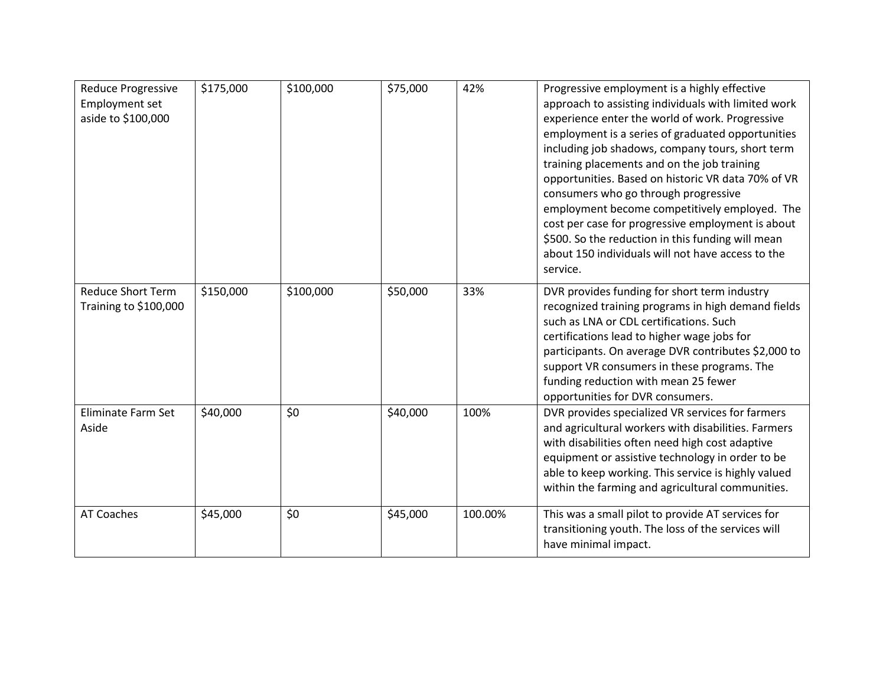| <b>Reduce Progressive</b><br><b>Employment set</b><br>aside to \$100,000 | \$175,000 | \$100,000 | \$75,000 | 42%     | Progressive employment is a highly effective<br>approach to assisting individuals with limited work<br>experience enter the world of work. Progressive<br>employment is a series of graduated opportunities<br>including job shadows, company tours, short term<br>training placements and on the job training<br>opportunities. Based on historic VR data 70% of VR<br>consumers who go through progressive<br>employment become competitively employed. The<br>cost per case for progressive employment is about<br>\$500. So the reduction in this funding will mean<br>about 150 individuals will not have access to the<br>service. |
|--------------------------------------------------------------------------|-----------|-----------|----------|---------|------------------------------------------------------------------------------------------------------------------------------------------------------------------------------------------------------------------------------------------------------------------------------------------------------------------------------------------------------------------------------------------------------------------------------------------------------------------------------------------------------------------------------------------------------------------------------------------------------------------------------------------|
| <b>Reduce Short Term</b><br>Training to \$100,000                        | \$150,000 | \$100,000 | \$50,000 | 33%     | DVR provides funding for short term industry<br>recognized training programs in high demand fields<br>such as LNA or CDL certifications. Such<br>certifications lead to higher wage jobs for<br>participants. On average DVR contributes \$2,000 to<br>support VR consumers in these programs. The<br>funding reduction with mean 25 fewer<br>opportunities for DVR consumers.                                                                                                                                                                                                                                                           |
| Eliminate Farm Set<br>Aside                                              | \$40,000  | \$0       | \$40,000 | 100%    | DVR provides specialized VR services for farmers<br>and agricultural workers with disabilities. Farmers<br>with disabilities often need high cost adaptive<br>equipment or assistive technology in order to be<br>able to keep working. This service is highly valued<br>within the farming and agricultural communities.                                                                                                                                                                                                                                                                                                                |
| <b>AT Coaches</b>                                                        | \$45,000  | \$0       | \$45,000 | 100.00% | This was a small pilot to provide AT services for<br>transitioning youth. The loss of the services will<br>have minimal impact.                                                                                                                                                                                                                                                                                                                                                                                                                                                                                                          |